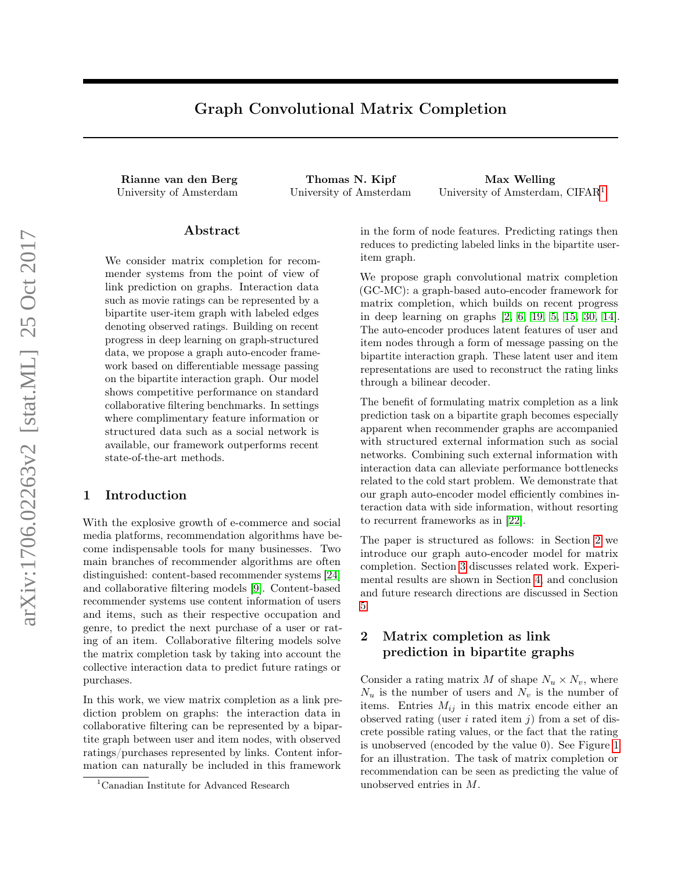# Graph Convolutional Matrix Completion

Rianne van den Berg Thomas N. Kipf Max Welling

<span id="page-0-1"></span>University of Amsterdam University of Amsterdam University of Amsterdam, CIFAR<sup>1</sup>

# Abstract

We consider matrix completion for recommender systems from the point of view of link prediction on graphs. Interaction data such as movie ratings can be represented by a bipartite user-item graph with labeled edges denoting observed ratings. Building on recent progress in deep learning on graph-structured data, we propose a graph auto-encoder framework based on differentiable message passing on the bipartite interaction graph. Our model shows competitive performance on standard collaborative filtering benchmarks. In settings where complimentary feature information or structured data such as a social network is available, our framework outperforms recent state-of-the-art methods.

# 1 Introduction

With the explosive growth of e-commerce and social media platforms, recommendation algorithms have become indispensable tools for many businesses. Two main branches of recommender algorithms are often distinguished: content-based recommender systems [\[24\]](#page-8-0) and collaborative filtering models [\[9\]](#page-8-1). Content-based recommender systems use content information of users and items, such as their respective occupation and genre, to predict the next purchase of a user or rating of an item. Collaborative filtering models solve the matrix completion task by taking into account the collective interaction data to predict future ratings or purchases.

In this work, we view matrix completion as a link prediction problem on graphs: the interaction data in collaborative filtering can be represented by a bipartite graph between user and item nodes, with observed ratings/purchases represented by links. Content information can naturally be included in this framework in the form of node features. Predicting ratings then reduces to predicting labeled links in the bipartite useritem graph.

We propose graph convolutional matrix completion (GC-MC): a graph-based auto-encoder framework for matrix completion, which builds on recent progress in deep learning on graphs [\[2,](#page-7-0) [6,](#page-8-2) [19,](#page-8-3) [5,](#page-8-4) [15,](#page-8-5) [30,](#page-8-6) [14\]](#page-8-7). The auto-encoder produces latent features of user and item nodes through a form of message passing on the bipartite interaction graph. These latent user and item representations are used to reconstruct the rating links through a bilinear decoder.

The benefit of formulating matrix completion as a link prediction task on a bipartite graph becomes especially apparent when recommender graphs are accompanied with structured external information such as social networks. Combining such external information with interaction data can alleviate performance bottlenecks related to the cold start problem. We demonstrate that our graph auto-encoder model efficiently combines interaction data with side information, without resorting to recurrent frameworks as in [\[22\]](#page-8-8).

The paper is structured as follows: in Section [2](#page-0-0) we introduce our graph auto-encoder model for matrix completion. Section [3](#page-4-0) discusses related work. Experimental results are shown in Section [4,](#page-5-0) and conclusion and future research directions are discussed in Section [5.](#page-7-1)

# <span id="page-0-0"></span>2 Matrix completion as link prediction in bipartite graphs

Consider a rating matrix  $M$  of shape  $N_u \times N_v$ , where  $N_u$  is the number of users and  $N_v$  is the number of items. Entries  $M_{ij}$  in this matrix encode either an observed rating (user  $i$  rated item  $j$ ) from a set of discrete possible rating values, or the fact that the rating is unobserved (encoded by the value 0). See Figure [1](#page-1-0) for an illustration. The task of matrix completion or recommendation can be seen as predicting the value of unobserved entries in M.

<sup>1</sup>Canadian Institute for Advanced Research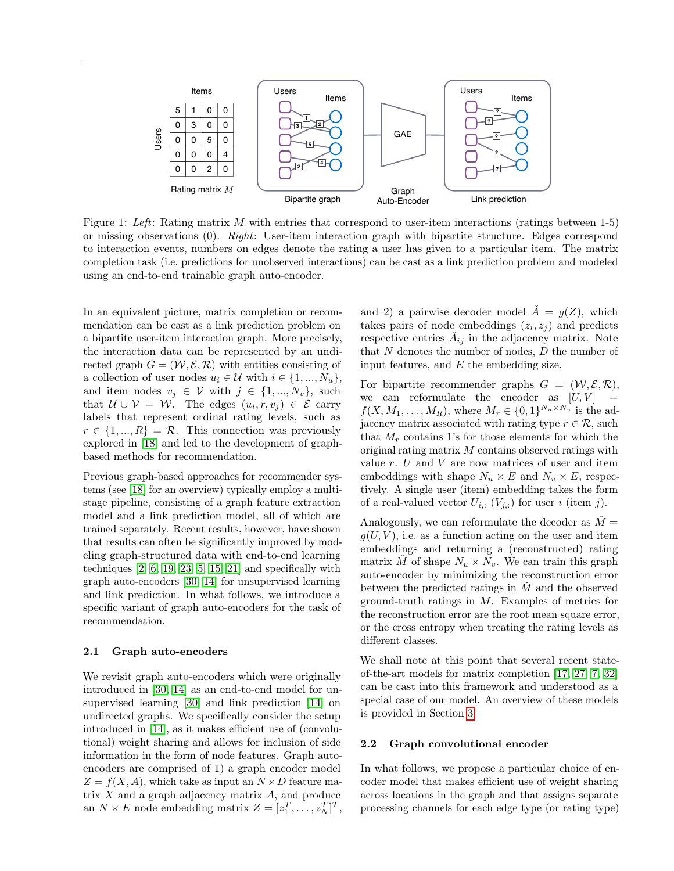<span id="page-1-0"></span>

Figure 1: Left: Rating matrix M with entries that correspond to user-item interactions (ratings between 1-5) or missing observations (0). Right: User-item interaction graph with bipartite structure. Edges correspond to interaction events, numbers on edges denote the rating a user has given to a particular item. The matrix completion task (i.e. predictions for unobserved interactions) can be cast as a link prediction problem and modeled using an end-to-end trainable graph auto-encoder.

In an equivalent picture, matrix completion or recommendation can be cast as a link prediction problem on a bipartite user-item interaction graph. More precisely, the interaction data can be represented by an undirected graph  $G = (W, \mathcal{E}, \mathcal{R})$  with entities consisting of a collection of user nodes  $u_i \in \mathcal{U}$  with  $i \in \{1, ..., N_u\},\$ and item nodes  $v_j \in V$  with  $j \in \{1, ..., N_v\}$ , such that  $U \cup V = W$ . The edges  $(u_i, r, v_j) \in \mathcal{E}$  carry labels that represent ordinal rating levels, such as  $r \in \{1, ..., R\} = \mathcal{R}$ . This connection was previously explored in [\[18\]](#page-8-9) and led to the development of graphbased methods for recommendation.

Previous graph-based approaches for recommender systems (see [\[18\]](#page-8-9) for an overview) typically employ a multistage pipeline, consisting of a graph feature extraction model and a link prediction model, all of which are trained separately. Recent results, however, have shown that results can often be significantly improved by modeling graph-structured data with end-to-end learning techniques  $[2, 6, 19, 23, 5, 15, 21]$  $[2, 6, 19, 23, 5, 15, 21]$  $[2, 6, 19, 23, 5, 15, 21]$  $[2, 6, 19, 23, 5, 15, 21]$  $[2, 6, 19, 23, 5, 15, 21]$  $[2, 6, 19, 23, 5, 15, 21]$  $[2, 6, 19, 23, 5, 15, 21]$  $[2, 6, 19, 23, 5, 15, 21]$  $[2, 6, 19, 23, 5, 15, 21]$  $[2, 6, 19, 23, 5, 15, 21]$  $[2, 6, 19, 23, 5, 15, 21]$  $[2, 6, 19, 23, 5, 15, 21]$  $[2, 6, 19, 23, 5, 15, 21]$  and specifically with graph auto-encoders [\[30,](#page-8-6) [14\]](#page-8-7) for unsupervised learning and link prediction. In what follows, we introduce a specific variant of graph auto-encoders for the task of recommendation.

#### 2.1 Graph auto-encoders

We revisit graph auto-encoders which were originally introduced in [\[30,](#page-8-6) [14\]](#page-8-7) as an end-to-end model for unsupervised learning [\[30\]](#page-8-6) and link prediction [\[14\]](#page-8-7) on undirected graphs. We specifically consider the setup introduced in [\[14\]](#page-8-7), as it makes efficient use of (convolutional) weight sharing and allows for inclusion of side information in the form of node features. Graph autoencoders are comprised of 1) a graph encoder model  $Z = f(X, A)$ , which take as input an  $N \times D$  feature matrix X and a graph adjacency matrix A, and produce an  $N \times E$  node embedding matrix  $Z = [z_1^T, \dots, z_N^T]^T$ , and 2) a pairwise decoder model  $\check{A} = g(Z)$ , which takes pairs of node embeddings  $(z_i, z_j)$  and predicts respective entries  $\check{A}_{ij}$  in the adjacency matrix. Note that  $N$  denotes the number of nodes,  $D$  the number of input features, and  $E$  the embedding size.

For bipartite recommender graphs  $G = (\mathcal{W}, \mathcal{E}, \mathcal{R}),$ we can reformulate the encoder as  $[U, V]$  =  $f(X, M_1, \ldots, M_R)$ , where  $M_r \in \{0, 1\}^{N_u \times N_v}$  is the adjacency matrix associated with rating type  $r \in \mathcal{R}$ , such that  $M_r$  contains 1's for those elements for which the original rating matrix  $M$  contains observed ratings with value  $r$ .  $U$  and  $V$  are now matrices of user and item embeddings with shape  $N_u \times E$  and  $N_v \times E$ , respectively. A single user (item) embedding takes the form of a real-valued vector  $U_{i,:}$   $(V_{j,:})$  for user i (item j).

Analogously, we can reformulate the decoder as  $\dot{M} =$  $g(U, V)$ , i.e. as a function acting on the user and item embeddings and returning a (reconstructed) rating matrix  $\check{M}$  of shape  $N_u \times N_v$ . We can train this graph auto-encoder by minimizing the reconstruction error between the predicted ratings in  $\tilde{M}$  and the observed ground-truth ratings in M. Examples of metrics for the reconstruction error are the root mean square error, or the cross entropy when treating the rating levels as different classes.

We shall note at this point that several recent stateof-the-art models for matrix completion [\[17,](#page-8-12) [27,](#page-8-13) [7,](#page-8-14) [32\]](#page-8-15) can be cast into this framework and understood as a special case of our model. An overview of these models is provided in Section [3.](#page-4-0)

#### <span id="page-1-1"></span>2.2 Graph convolutional encoder

In what follows, we propose a particular choice of encoder model that makes efficient use of weight sharing across locations in the graph and that assigns separate processing channels for each edge type (or rating type)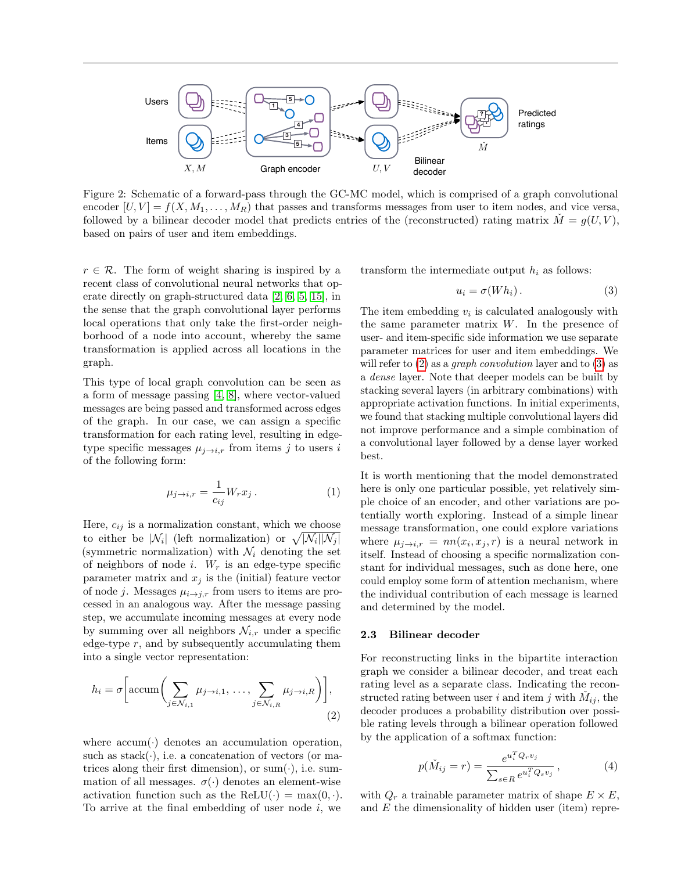

Figure 2: Schematic of a forward-pass through the GC-MC model, which is comprised of a graph convolutional encoder  $[U, V] = f(X, M_1, \ldots, M_R)$  that passes and transforms messages from user to item nodes, and vice versa, followed by a bilinear decoder model that predicts entries of the (reconstructed) rating matrix  $M = g(U, V)$ , based on pairs of user and item embeddings.

 $r \in \mathcal{R}$ . The form of weight sharing is inspired by a recent class of convolutional neural networks that operate directly on graph-structured data [\[2,](#page-7-0) [6,](#page-8-2) [5,](#page-8-4) [15\]](#page-8-5), in the sense that the graph convolutional layer performs local operations that only take the first-order neighborhood of a node into account, whereby the same transformation is applied across all locations in the graph.

This type of local graph convolution can be seen as a form of message passing [\[4,](#page-8-16) [8\]](#page-8-17), where vector-valued messages are being passed and transformed across edges of the graph. In our case, we can assign a specific transformation for each rating level, resulting in edgetype specific messages  $\mu_{j\rightarrow i,r}$  from items j to users i of the following form:

$$
\mu_{j \to i, r} = \frac{1}{c_{ij}} W_r x_j \,. \tag{1}
$$

Here,  $c_{ij}$  is a normalization constant, which we choose to either be  $|\mathcal{N}_i|$  (left normalization) or  $\sqrt{|\mathcal{N}_i||\mathcal{N}_j|}$ (symmetric normalization) with  $\mathcal{N}_i$  denoting the set of neighbors of node i.  $W_r$  is an edge-type specific parameter matrix and  $x_j$  is the (initial) feature vector of node j. Messages  $\mu_{i\to j,r}$  from users to items are processed in an analogous way. After the message passing step, we accumulate incoming messages at every node by summing over all neighbors  $\mathcal{N}_{i,r}$  under a specific edge-type  $r$ , and by subsequently accumulating them into a single vector representation:

$$
h_i = \sigma \left[ \operatorname{accum}\left( \sum_{j \in \mathcal{N}_{i,1}} \mu_{j \to i,1}, \dots, \sum_{j \in \mathcal{N}_{i,R}} \mu_{j \to i,R} \right) \right], \tag{2}
$$

where  $\text{accum}(\cdot)$  denotes an accumulation operation, such as stack( $\cdot$ ), i.e. a concatenation of vectors (or matrices along their first dimension), or sum( $\cdot$ ), i.e. summation of all messages.  $\sigma(\cdot)$  denotes an element-wise activation function such as the ReLU( $\cdot$ ) = max(0, $\cdot$ ). To arrive at the final embedding of user node  $i$ , we

transform the intermediate output  $h_i$  as follows:

<span id="page-2-1"></span>
$$
u_i = \sigma(Wh_i). \tag{3}
$$

The item embedding  $v_i$  is calculated analogously with the same parameter matrix  $W$ . In the presence of user- and item-specific side information we use separate parameter matrices for user and item embeddings. We will refer to  $(2)$  as a *graph convolution* layer and to  $(3)$  as a dense layer. Note that deeper models can be built by stacking several layers (in arbitrary combinations) with appropriate activation functions. In initial experiments, we found that stacking multiple convolutional layers did not improve performance and a simple combination of a convolutional layer followed by a dense layer worked best.

It is worth mentioning that the model demonstrated here is only one particular possible, yet relatively simple choice of an encoder, and other variations are potentially worth exploring. Instead of a simple linear message transformation, one could explore variations where  $\mu_{j \to i,r} = nn(x_i, x_j, r)$  is a neural network in itself. Instead of choosing a specific normalization constant for individual messages, such as done here, one could employ some form of attention mechanism, where the individual contribution of each message is learned and determined by the model.

#### 2.3 Bilinear decoder

<span id="page-2-0"></span>For reconstructing links in the bipartite interaction graph we consider a bilinear decoder, and treat each rating level as a separate class. Indicating the reconstructed rating between user i and item j with  $\check{M}_{ij}$ , the decoder produces a probability distribution over possible rating levels through a bilinear operation followed by the application of a softmax function:

$$
p(\check{M}_{ij} = r) = \frac{e^{u_i^T Q_r v_j}}{\sum_{s \in R} e^{u_i^T Q_s v_j}},
$$
\n(4)

with  $Q_r$  a trainable parameter matrix of shape  $E \times E$ , and E the dimensionality of hidden user (item) repre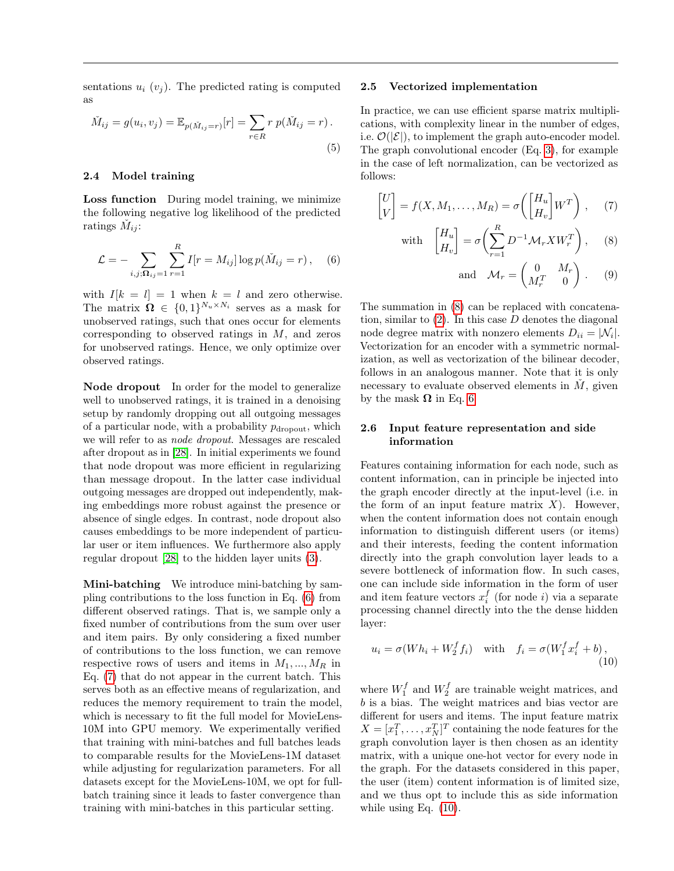sentations  $u_i$  ( $v_i$ ). The predicted rating is computed as

$$
\tilde{M}_{ij} = g(u_i, v_j) = \mathbb{E}_{p(\tilde{M}_{ij} = r)}[r] = \sum_{r \in R} r p(\tilde{M}_{ij} = r).
$$
\n(5)

#### 2.4 Model training

Loss function During model training, we minimize the following negative log likelihood of the predicted ratings  $\check{M}_{ij}$ :

<span id="page-3-0"></span>
$$
\mathcal{L} = -\sum_{i,j; \mathbf{\Omega}_{ij}=1} \sum_{r=1}^{R} I[r = M_{ij}] \log p(\check{M}_{ij} = r), \quad (6)
$$

with  $I[k = l] = 1$  when  $k = l$  and zero otherwise. The matrix  $\mathbf{\Omega} \in \{0,1\}^{N_u \times N_i}$  serves as a mask for unobserved ratings, such that ones occur for elements corresponding to observed ratings in M, and zeros for unobserved ratings. Hence, we only optimize over observed ratings.

Node dropout In order for the model to generalize well to unobserved ratings, it is trained in a denoising setup by randomly dropping out all outgoing messages of a particular node, with a probability  $p_{\text{dropout}}$ , which we will refer to as node dropout. Messages are rescaled after dropout as in [\[28\]](#page-8-18). In initial experiments we found that node dropout was more efficient in regularizing than message dropout. In the latter case individual outgoing messages are dropped out independently, making embeddings more robust against the presence or absence of single edges. In contrast, node dropout also causes embeddings to be more independent of particular user or item influences. We furthermore also apply regular dropout [\[28\]](#page-8-18) to the hidden layer units [\(3\)](#page-2-1).

Mini-batching We introduce mini-batching by sampling contributions to the loss function in Eq. [\(6\)](#page-3-0) from different observed ratings. That is, we sample only a fixed number of contributions from the sum over user and item pairs. By only considering a fixed number of contributions to the loss function, we can remove respective rows of users and items in  $M_1, ..., M_R$  in Eq. [\(7\)](#page-3-1) that do not appear in the current batch. This serves both as an effective means of regularization, and reduces the memory requirement to train the model, which is necessary to fit the full model for MovieLens-10M into GPU memory. We experimentally verified that training with mini-batches and full batches leads to comparable results for the MovieLens-1M dataset while adjusting for regularization parameters. For all datasets except for the MovieLens-10M, we opt for fullbatch training since it leads to faster convergence than training with mini-batches in this particular setting.

#### 2.5 Vectorized implementation

In practice, we can use efficient sparse matrix multiplications, with complexity linear in the number of edges, i.e.  $\mathcal{O}(|\mathcal{E}|)$ , to implement the graph auto-encoder model. The graph convolutional encoder (Eq. [3\)](#page-2-1), for example in the case of left normalization, can be vectorized as follows:

$$
\begin{bmatrix} U \\ V \end{bmatrix} = f(X, M_1, \dots, M_R) = \sigma \left( \begin{bmatrix} H_u \\ H_v \end{bmatrix} W^T \right), \quad (7)
$$

with 
$$
\begin{bmatrix} H_u \\ H_v \end{bmatrix} = \sigma \left( \sum_{r=1}^R D^{-1} \mathcal{M}_r X W_r^T \right),
$$
 (8)

<span id="page-3-2"></span><span id="page-3-1"></span>and 
$$
\mathcal{M}_r = \begin{pmatrix} 0 & M_r \\ M_r^T & 0 \end{pmatrix}
$$
. (9)

The summation in [\(8\)](#page-3-2) can be replaced with concatenation, similar to  $(2)$ . In this case  $D$  denotes the diagonal node degree matrix with nonzero elements  $D_{ii} = |\mathcal{N}_i|$ . Vectorization for an encoder with a symmetric normalization, as well as vectorization of the bilinear decoder, follows in an analogous manner. Note that it is only necessary to evaluate observed elements in  $\dot{M}$ , given by the mask  $\Omega$  in Eq. [6.](#page-3-0)

# 2.6 Input feature representation and side information

Features containing information for each node, such as content information, can in principle be injected into the graph encoder directly at the input-level (i.e. in the form of an input feature matrix  $X$ ). However, when the content information does not contain enough information to distinguish different users (or items) and their interests, feeding the content information directly into the graph convolution layer leads to a severe bottleneck of information flow. In such cases, one can include side information in the form of user and item feature vectors  $x_i^f$  (for node *i*) via a separate processing channel directly into the the dense hidden layer:

<span id="page-3-3"></span>
$$
u_i = \sigma(Wh_i + W_2^f f_i) \quad \text{with} \quad f_i = \sigma(W_1^f x_i^f + b), \tag{10}
$$

where  $W_1^f$  and  $W_2^f$  are trainable weight matrices, and b is a bias. The weight matrices and bias vector are different for users and items. The input feature matrix  $X = [x_1^T, \dots, x_N^T]^T$  containing the node features for the graph convolution layer is then chosen as an identity matrix, with a unique one-hot vector for every node in the graph. For the datasets considered in this paper, the user (item) content information is of limited size, and we thus opt to include this as side information while using Eq.  $(10)$ .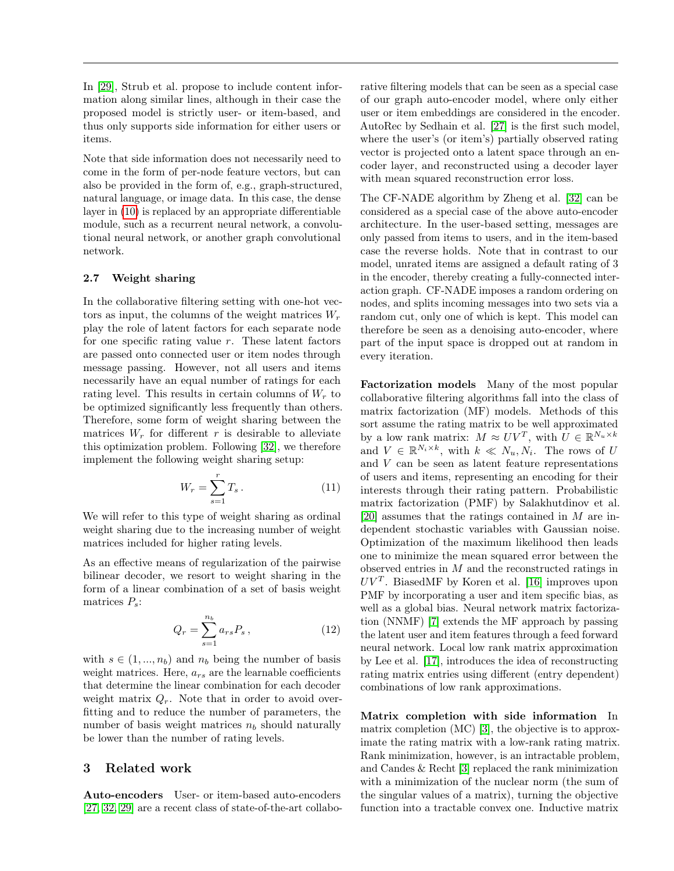In [\[29\]](#page-8-19), Strub et al. propose to include content information along similar lines, although in their case the proposed model is strictly user- or item-based, and thus only supports side information for either users or items.

Note that side information does not necessarily need to come in the form of per-node feature vectors, but can also be provided in the form of, e.g., graph-structured, natural language, or image data. In this case, the dense layer in [\(10\)](#page-3-3) is replaced by an appropriate differentiable module, such as a recurrent neural network, a convolutional neural network, or another graph convolutional network.

# 2.7 Weight sharing

In the collaborative filtering setting with one-hot vectors as input, the columns of the weight matrices  $W_r$ play the role of latent factors for each separate node for one specific rating value  $r$ . These latent factors are passed onto connected user or item nodes through message passing. However, not all users and items necessarily have an equal number of ratings for each rating level. This results in certain columns of  $W_r$  to be optimized significantly less frequently than others. Therefore, some form of weight sharing between the matrices  $W_r$  for different r is desirable to alleviate this optimization problem. Following [\[32\]](#page-8-15), we therefore implement the following weight sharing setup:

$$
W_r = \sum_{s=1}^r T_s \,. \tag{11}
$$

We will refer to this type of weight sharing as ordinal weight sharing due to the increasing number of weight matrices included for higher rating levels.

As an effective means of regularization of the pairwise bilinear decoder, we resort to weight sharing in the form of a linear combination of a set of basis weight matrices  $P_s$ :

$$
Q_r = \sum_{s=1}^{n_b} a_{rs} P_s \,, \tag{12}
$$

with  $s \in (1, ..., n_b)$  and  $n_b$  being the number of basis weight matrices. Here,  $a_{rs}$  are the learnable coefficients that determine the linear combination for each decoder weight matrix  $Q_r$ . Note that in order to avoid overfitting and to reduce the number of parameters, the number of basis weight matrices  $n_b$  should naturally be lower than the number of rating levels.

# <span id="page-4-0"></span>3 Related work

Auto-encoders User- or item-based auto-encoders [\[27,](#page-8-13) [32,](#page-8-15) [29\]](#page-8-19) are a recent class of state-of-the-art collabo-

rative filtering models that can be seen as a special case of our graph auto-encoder model, where only either user or item embeddings are considered in the encoder. AutoRec by Sedhain et al. [\[27\]](#page-8-13) is the first such model, where the user's (or item's) partially observed rating vector is projected onto a latent space through an encoder layer, and reconstructed using a decoder layer with mean squared reconstruction error loss.

The CF-NADE algorithm by Zheng et al. [\[32\]](#page-8-15) can be considered as a special case of the above auto-encoder architecture. In the user-based setting, messages are only passed from items to users, and in the item-based case the reverse holds. Note that in contrast to our model, unrated items are assigned a default rating of 3 in the encoder, thereby creating a fully-connected interaction graph. CF-NADE imposes a random ordering on nodes, and splits incoming messages into two sets via a random cut, only one of which is kept. This model can therefore be seen as a denoising auto-encoder, where part of the input space is dropped out at random in every iteration.

Factorization models Many of the most popular collaborative filtering algorithms fall into the class of matrix factorization (MF) models. Methods of this sort assume the rating matrix to be well approximated by a low rank matrix:  $M \approx UV^T$ , with  $U \in \mathbb{R}^{N_u \times k}$ and  $V \in \mathbb{R}^{N_i \times k}$ , with  $k \ll N_u, N_i$ . The rows of U and V can be seen as latent feature representations of users and items, representing an encoding for their interests through their rating pattern. Probabilistic matrix factorization (PMF) by Salakhutdinov et al. [\[20\]](#page-8-20) assumes that the ratings contained in M are independent stochastic variables with Gaussian noise. Optimization of the maximum likelihood then leads one to minimize the mean squared error between the observed entries in M and the reconstructed ratings in  $UV<sup>T</sup>$ . BiasedMF by Koren et al. [\[16\]](#page-8-21) improves upon PMF by incorporating a user and item specific bias, as well as a global bias. Neural network matrix factorization (NNMF) [\[7\]](#page-8-14) extends the MF approach by passing the latent user and item features through a feed forward neural network. Local low rank matrix approximation by Lee et al. [\[17\]](#page-8-12), introduces the idea of reconstructing rating matrix entries using different (entry dependent) combinations of low rank approximations.

Matrix completion with side information In matrix completion (MC) [\[3\]](#page-7-2), the objective is to approximate the rating matrix with a low-rank rating matrix. Rank minimization, however, is an intractable problem, and Candes & Recht [\[3\]](#page-7-2) replaced the rank minimization with a minimization of the nuclear norm (the sum of the singular values of a matrix), turning the objective function into a tractable convex one. Inductive matrix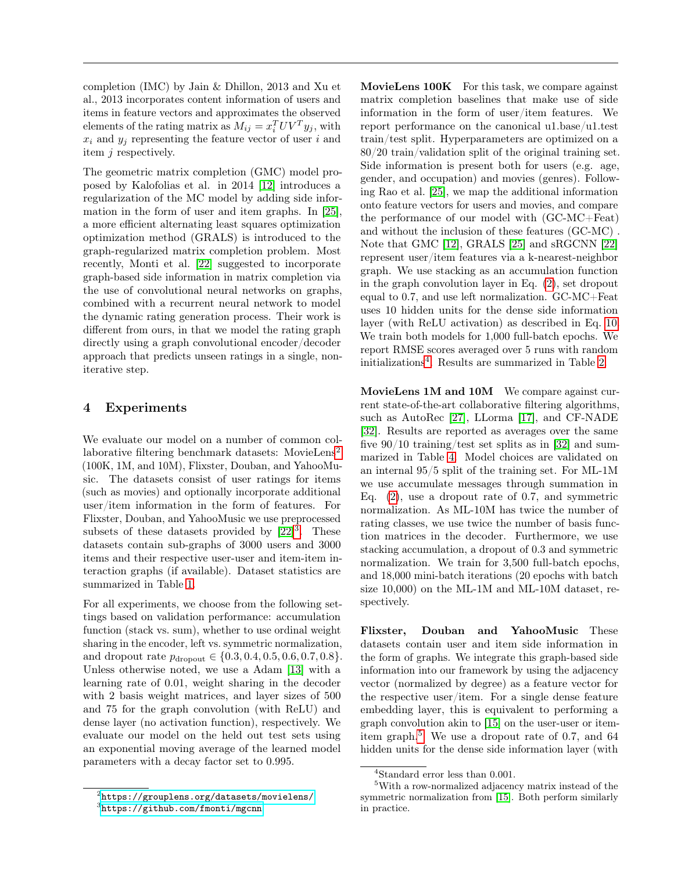completion (IMC) by Jain & Dhillon, 2013 and Xu et al., 2013 incorporates content information of users and items in feature vectors and approximates the observed elements of the rating matrix as  $M_{ij} = x_i^T UV^T y_j$ , with  $x_i$  and  $y_j$  representing the feature vector of user i and item j respectively.

The geometric matrix completion (GMC) model proposed by Kalofolias et al. in 2014 [\[12\]](#page-8-22) introduces a regularization of the MC model by adding side information in the form of user and item graphs. In [\[25\]](#page-8-23), a more efficient alternating least squares optimization optimization method (GRALS) is introduced to the graph-regularized matrix completion problem. Most recently, Monti et al. [\[22\]](#page-8-8) suggested to incorporate graph-based side information in matrix completion via the use of convolutional neural networks on graphs, combined with a recurrent neural network to model the dynamic rating generation process. Their work is different from ours, in that we model the rating graph directly using a graph convolutional encoder/decoder approach that predicts unseen ratings in a single, noniterative step.

# <span id="page-5-0"></span>4 Experiments

We evaluate our model on a number of common col-laborative filtering benchmark datasets: MovieLens<sup>[2](#page-0-1)</sup> (100K, 1M, and 10M), Flixster, Douban, and YahooMusic. The datasets consist of user ratings for items (such as movies) and optionally incorporate additional user/item information in the form of features. For Flixster, Douban, and YahooMusic we use preprocessed subsets of these datasets provided by  $[22]^3$  $[22]^3$  $[22]^3$ . These datasets contain sub-graphs of 3000 users and 3000 items and their respective user-user and item-item interaction graphs (if available). Dataset statistics are summarized in Table [1.](#page-6-0)

For all experiments, we choose from the following settings based on validation performance: accumulation function (stack vs. sum), whether to use ordinal weight sharing in the encoder, left vs. symmetric normalization, and dropout rate  $p_{\text{dropout}} \in \{0.3, 0.4, 0.5, 0.6, 0.7, 0.8\}.$ Unless otherwise noted, we use a Adam [\[13\]](#page-8-24) with a learning rate of 0.01, weight sharing in the decoder with 2 basis weight matrices, and layer sizes of 500 and 75 for the graph convolution (with ReLU) and dense layer (no activation function), respectively. We evaluate our model on the held out test sets using an exponential moving average of the learned model parameters with a decay factor set to 0.995.

MovieLens 100K For this task, we compare against matrix completion baselines that make use of side information in the form of user/item features. We report performance on the canonical u1.base/u1.test train/test split. Hyperparameters are optimized on a 80/20 train/validation split of the original training set. Side information is present both for users (e.g. age, gender, and occupation) and movies (genres). Following Rao et al. [\[25\]](#page-8-23), we map the additional information onto feature vectors for users and movies, and compare the performance of our model with (GC-MC+Feat) and without the inclusion of these features (GC-MC) . Note that GMC [\[12\]](#page-8-22), GRALS [\[25\]](#page-8-23) and sRGCNN [\[22\]](#page-8-8) represent user/item features via a k-nearest-neighbor graph. We use stacking as an accumulation function in the graph convolution layer in Eq. [\(2\)](#page-2-0), set dropout equal to 0.7, and use left normalization. GC-MC+Feat uses 10 hidden units for the dense side information layer (with ReLU activation) as described in Eq. [10.](#page-3-3) We train both models for 1,000 full-batch epochs. We report RMSE scores averaged over 5 runs with random initializations[4](#page-0-1) . Results are summarized in Table [2.](#page-6-1)

MovieLens 1M and 10M We compare against current state-of-the-art collaborative filtering algorithms, such as AutoRec [\[27\]](#page-8-13), LLorma [\[17\]](#page-8-12), and CF-NADE [\[32\]](#page-8-15). Results are reported as averages over the same five 90/10 training/test set splits as in [\[32\]](#page-8-15) and summarized in Table [4.](#page-6-2) Model choices are validated on an internal 95/5 split of the training set. For ML-1M we use accumulate messages through summation in Eq. [\(2\)](#page-2-0), use a dropout rate of 0.7, and symmetric normalization. As ML-10M has twice the number of rating classes, we use twice the number of basis function matrices in the decoder. Furthermore, we use stacking accumulation, a dropout of 0.3 and symmetric normalization. We train for 3,500 full-batch epochs, and 18,000 mini-batch iterations (20 epochs with batch size 10,000) on the ML-1M and ML-10M dataset, respectively.

Flixster, Douban and YahooMusic These datasets contain user and item side information in the form of graphs. We integrate this graph-based side information into our framework by using the adjacency vector (normalized by degree) as a feature vector for the respective user/item. For a single dense feature embedding layer, this is equivalent to performing a graph convolution akin to [\[15\]](#page-8-5) on the user-user or item-item graph.<sup>[5](#page-0-1)</sup> We use a dropout rate of 0.7, and 64 hidden units for the dense side information layer (with

 $^{2}$ <https://grouplens.org/datasets/movielens/> 3 <https://github.com/fmonti/mgcnn>

<sup>4</sup>Standard error less than 0.001.

<sup>5</sup>With a row-normalized adjacency matrix instead of the symmetric normalization from [\[15\]](#page-8-5). Both perform similarly in practice.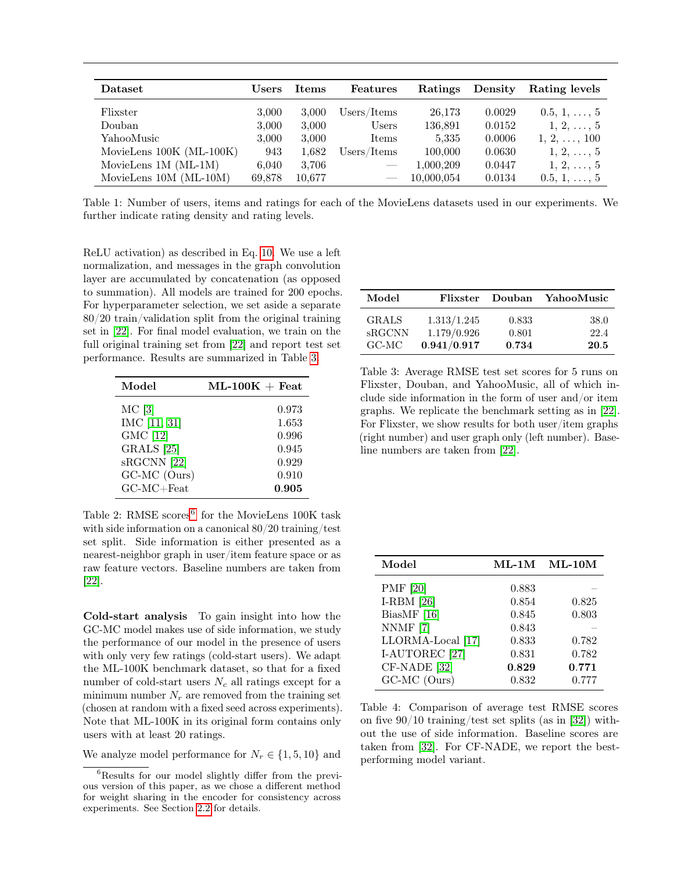<span id="page-6-0"></span>

| Dataset                  | Users  | <b>Items</b> | Features    | Ratings    | Density | Rating levels       |
|--------------------------|--------|--------------|-------------|------------|---------|---------------------|
| Flixster                 | 3,000  | 3,000        | Users/Items | 26,173     | 0.0029  | $0.5, 1, \ldots, 5$ |
| Douban                   | 3,000  | 3,000        | Users       | 136,891    | 0.0152  | $1, 2, \ldots, 5$   |
| YahooMusic               | 3,000  | 3,000        | Items       | 5,335      | 0.0006  | $1, 2, \ldots, 100$ |
| MovieLens 100K (ML-100K) | 943    | 1,682        | Users/Items | 100,000    | 0.0630  | $1, 2, \ldots, 5$   |
| MovieLens $1M (ML-1M)$   | 6,040  | 3,706        |             | 1,000,209  | 0.0447  | $1, 2, \ldots, 5$   |
| MovieLens 10M (ML-10M)   | 69,878 | 10,677       |             | 10,000,054 | 0.0134  | $0.5, 1, \ldots, 5$ |

Table 1: Number of users, items and ratings for each of the MovieLens datasets used in our experiments. We further indicate rating density and rating levels.

ReLU activation) as described in Eq. [10.](#page-3-3) We use a left normalization, and messages in the graph convolution layer are accumulated by concatenation (as opposed to summation). All models are trained for 200 epochs. For hyperparameter selection, we set aside a separate 80/20 train/validation split from the original training set in [\[22\]](#page-8-8). For final model evaluation, we train on the full original training set from [\[22\]](#page-8-8) and report test set performance. Results are summarized in Table [3.](#page-6-3)

<span id="page-6-1"></span>

| Model                 | $ML-100K +$ Feat |
|-----------------------|------------------|
| MC [3]                | 0.973            |
| IMC [11, 31]          | 1.653            |
| GMC [12]              | 0.996            |
| GRALS <sup>[25]</sup> | 0.945            |
| sRGCNN [22]           | 0.929            |
| GC-MC (Ours)          | 0.910            |
| $GC-MC + Feat$        | 0.905            |

Table 2: RMSE scores<sup>[6](#page-0-1)</sup> for the MovieLens 100K task with side information on a canonical 80/20 training/test set split. Side information is either presented as a nearest-neighbor graph in user/item feature space or as raw feature vectors. Baseline numbers are taken from [\[22\]](#page-8-8).

Cold-start analysis To gain insight into how the GC-MC model makes use of side information, we study the performance of our model in the presence of users with only very few ratings (cold-start users). We adapt the ML-100K benchmark dataset, so that for a fixed number of cold-start users  $N_c$  all ratings except for a minimum number  $N_r$  are removed from the training set (chosen at random with a fixed seed across experiments). Note that ML-100K in its original form contains only users with at least 20 ratings.

We analyze model performance for  $N_r \in \{1, 5, 10\}$  and

<span id="page-6-3"></span>

| Model         | Flixster    | Douban | YahooMusic |
|---------------|-------------|--------|------------|
| <b>GRALS</b>  | 1.313/1.245 | 0.833  | 38.0       |
| <b>sRGCNN</b> | 1.179/0.926 | 0.801  | 22.4       |
| $G C$ -M $C$  | 0.941/0.917 | 0.734  | 20.5       |

Table 3: Average RMSE test set scores for 5 runs on Flixster, Douban, and YahooMusic, all of which include side information in the form of user and/or item graphs. We replicate the benchmark setting as in [\[22\]](#page-8-8). For Flixster, we show results for both user/item graphs (right number) and user graph only (left number). Baseline numbers are taken from [\[22\]](#page-8-8).

<span id="page-6-2"></span>

| Model                     | $ML-1M$ | $ML-10M$ |
|---------------------------|---------|----------|
| <b>PMF</b> [20]           | 0.883   |          |
| I-RBM $[26]$              | 0.854   | 0.825    |
| BiasMF $[16]$             | 0.845   | 0.803    |
| NNMF [7]                  | 0.843   |          |
| LLORMA-Local [17]         | 0.833   | 0.782    |
| I-AUTOREC <sup>[27]</sup> | 0.831   | 0.782    |
| CF-NADE [32]              | 0.829   | 0.771    |
| GC-MC (Ours)              | 0.832   | 0.777    |

Table 4: Comparison of average test RMSE scores on five  $90/10$  training/test set splits (as in [\[32\]](#page-8-15)) without the use of side information. Baseline scores are taken from [\[32\]](#page-8-15). For CF-NADE, we report the bestperforming model variant.

<sup>6</sup>Results for our model slightly differ from the previous version of this paper, as we chose a different method for weight sharing in the encoder for consistency across experiments. See Section [2.2](#page-1-1) for details.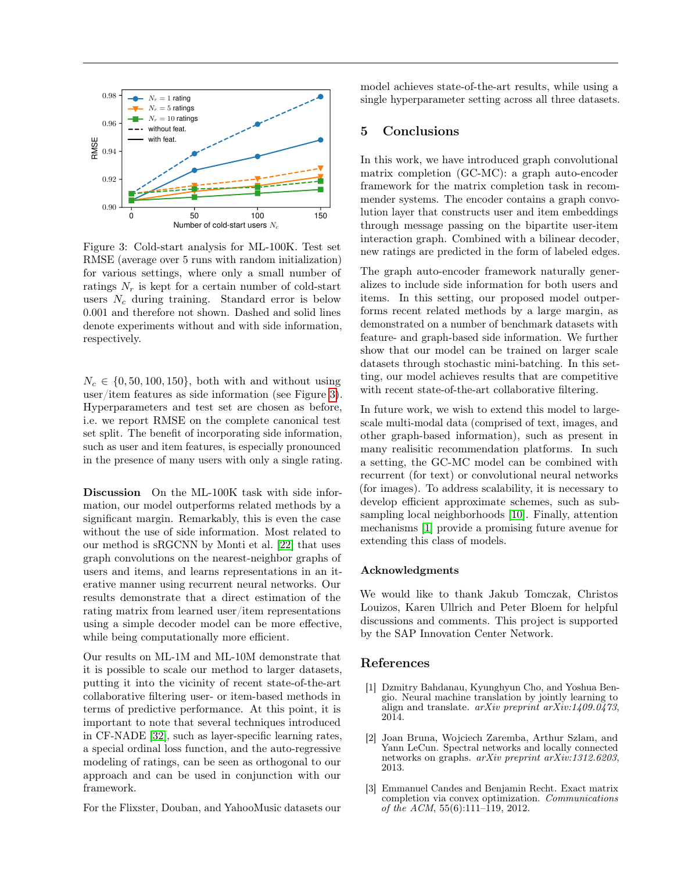<span id="page-7-3"></span>

Figure 3: Cold-start analysis for ML-100K. Test set RMSE (average over 5 runs with random initialization) for various settings, where only a small number of ratings  $N_r$  is kept for a certain number of cold-start users  $N_c$  during training. Standard error is below 0.001 and therefore not shown. Dashed and solid lines denote experiments without and with side information, respectively.

 $N_c \in \{0, 50, 100, 150\}$ , both with and without using user/item features as side information (see Figure [3\)](#page-7-3). Hyperparameters and test set are chosen as before, i.e. we report RMSE on the complete canonical test set split. The benefit of incorporating side information, such as user and item features, is especially pronounced in the presence of many users with only a single rating.

Discussion On the ML-100K task with side information, our model outperforms related methods by a significant margin. Remarkably, this is even the case without the use of side information. Most related to our method is sRGCNN by Monti et al. [\[22\]](#page-8-8) that uses graph convolutions on the nearest-neighbor graphs of users and items, and learns representations in an iterative manner using recurrent neural networks. Our results demonstrate that a direct estimation of the rating matrix from learned user/item representations using a simple decoder model can be more effective, while being computationally more efficient.

Our results on ML-1M and ML-10M demonstrate that it is possible to scale our method to larger datasets, putting it into the vicinity of recent state-of-the-art collaborative filtering user- or item-based methods in terms of predictive performance. At this point, it is important to note that several techniques introduced in CF-NADE [\[32\]](#page-8-15), such as layer-specific learning rates, a special ordinal loss function, and the auto-regressive modeling of ratings, can be seen as orthogonal to our approach and can be used in conjunction with our framework.

For the Flixster, Douban, and YahooMusic datasets our

model achieves state-of-the-art results, while using a single hyperparameter setting across all three datasets.

# <span id="page-7-1"></span>5 Conclusions

In this work, we have introduced graph convolutional matrix completion (GC-MC): a graph auto-encoder framework for the matrix completion task in recommender systems. The encoder contains a graph convolution layer that constructs user and item embeddings through message passing on the bipartite user-item interaction graph. Combined with a bilinear decoder, new ratings are predicted in the form of labeled edges.

The graph auto-encoder framework naturally generalizes to include side information for both users and items. In this setting, our proposed model outperforms recent related methods by a large margin, as demonstrated on a number of benchmark datasets with feature- and graph-based side information. We further show that our model can be trained on larger scale datasets through stochastic mini-batching. In this setting, our model achieves results that are competitive with recent state-of-the-art collaborative filtering.

In future work, we wish to extend this model to largescale multi-modal data (comprised of text, images, and other graph-based information), such as present in many realisitic recommendation platforms. In such a setting, the GC-MC model can be combined with recurrent (for text) or convolutional neural networks (for images). To address scalability, it is necessary to develop efficient approximate schemes, such as subsampling local neighborhoods [\[10\]](#page-8-28). Finally, attention mechanisms [\[1\]](#page-7-4) provide a promising future avenue for extending this class of models.

#### Acknowledgments

We would like to thank Jakub Tomczak, Christos Louizos, Karen Ullrich and Peter Bloem for helpful discussions and comments. This project is supported by the SAP Innovation Center Network.

# References

- <span id="page-7-4"></span>[1] Dzmitry Bahdanau, Kyunghyun Cho, and Yoshua Bengio. Neural machine translation by jointly learning to align and translate. arXiv preprint arXiv:1409.0473, 2014.
- <span id="page-7-0"></span>[2] Joan Bruna, Wojciech Zaremba, Arthur Szlam, and Yann LeCun. Spectral networks and locally connected networks on graphs. arXiv preprint arXiv:1312.6203, 2013.
- <span id="page-7-2"></span>[3] Emmanuel Candes and Benjamin Recht. Exact matrix completion via convex optimization. Communications of the ACM,  $55(6)$ :111–119, 2012.